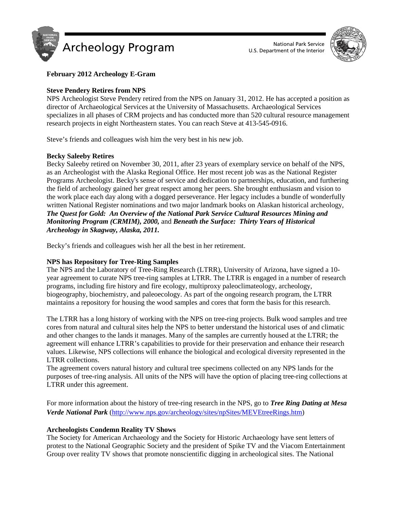



# **February 2012 Archeology E-Gram**

# **Steve Pendery Retires from NPS**

NPS Archeologist Steve Pendery retired from the NPS on January 31, 2012. He has accepted a position as director of Archaeological Services at the University of Massachusetts. Archaeological Services specializes in all phases of CRM projects and has conducted more than 520 cultural resource management research projects in eight Northeastern states. You can reach Steve at 413-545-0916.

Steve's friends and colleagues wish him the very best in his new job.

## **Becky Saleeby Retires**

Becky Saleeby retired on November 30, 2011, after 23 years of exemplary service on behalf of the NPS, as an Archeologist with the Alaska Regional Office. Her most recent job was as the National Register Programs Archeologist. Becky's sense of service and dedication to partnerships, education, and furthering the field of archeology gained her great respect among her peers. She brought enthusiasm and vision to the work place each day along with a dogged perseverance. Her legacy includes a bundle of wonderfully written National Register nominations and two major landmark books on Alaskan historical archeology, *The Quest for Gold: An Overview of the National Park Service Cultural Resources Mining and Monitoring Program (CRMIM), 2000,* and *Beneath the Surface: Thirty Years of Historical Archeology in Skagway, Alaska, 2011.*

Becky's friends and colleagues wish her all the best in her retirement.

## **NPS has Repository for Tree-Ring Samples**

The NPS and the Laboratory of Tree-Ring Research (LTRR), University of Arizona, have signed a 10 year agreement to curate NPS tree-ring samples at LTRR. The LTRR is engaged in a number of research programs, including fire history and fire ecology, multiproxy paleoclimateology, archeology, biogeography, biochemistry, and paleoecology. As part of the ongoing research program, the LTRR maintains a repository for housing the wood samples and cores that form the basis for this research.

The LTRR has a long history of working with the NPS on tree-ring projects. Bulk wood samples and tree cores from natural and cultural sites help the NPS to better understand the historical uses of and climatic and other changes to the lands it manages. Many of the samples are currently housed at the LTRR; the agreement will enhance LTRR's capabilities to provide for their preservation and enhance their research values. Likewise, NPS collections will enhance the biological and ecological diversity represented in the LTRR collections.

The agreement covers natural history and cultural tree specimens collected on any NPS lands for the purposes of tree-ring analysis. All units of the NPS will have the option of placing tree-ring collections at LTRR under this agreement.

For more information about the history of tree-ring research in the NPS, go to *Tree Ring Dating at Mesa Verde National Park* [\(http://www.nps.gov/archeology/sites/npSites/MEVEtreeRings.htm\)](http://www.nps.gov/archeology/sites/npSites/MEVEtreeRings.htm)

## **Archeologists Condemn Reality TV Shows**

The Society for American Archaeology and the Society for Historic Archaeology have sent letters of protest to the National Geographic Society and the president of Spike TV and the Viacom Entertainment Group over reality TV shows that promote nonscientific digging in archeological sites. The National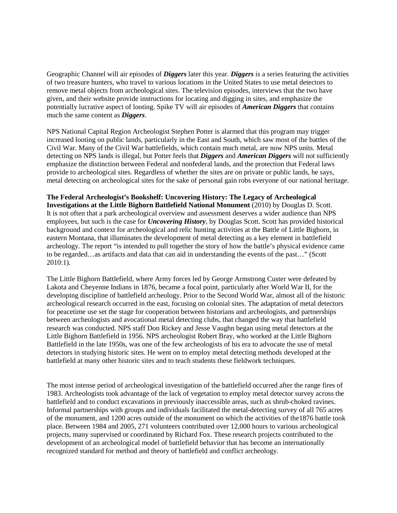Geographic Channel will air episodes of *Diggers* later this year. *Diggers* is a series featuring the activities of two treasure hunters, who travel to various locations in the United States to use metal detectors to remove metal objects from archeological sites. The television episodes, interviews that the two have given, and their website provide instructions for locating and digging in sites, and emphasize the potentially lucrative aspect of looting. Spike TV will air episodes of *American Diggers* that contains much the same content as *Diggers*.

NPS National Capital Region Archeologist Stephen Potter is alarmed that this program may trigger increased looting on public lands, particularly in the East and South, which saw most of the battles of the Civil War. Many of the Civil War battlefields, which contain much metal, are now NPS units. Metal detecting on NPS lands is illegal, but Potter feels that *Diggers* and *American Diggers* will not sufficiently emphasize the distinction between Federal and nonfederal lands, and the protection that Federal laws provide to archeological sites. Regardless of whether the sites are on private or public lands, he says, metal detecting on archeological sites for the sake of personal gain robs everyone of our national heritage.

#### **The Federal Archeologist's Bookshelf: Uncovering History: The Legacy of Archeological**

**Investigations at the Little Bighorn Battlefield National Monument** (2010) by Douglas D. Scott. It is not often that a park archeological overview and assessment deserves a wider audience than NPS employees, but such is the case for *Uncovering History*, by Douglas Scott. Scott has provided historical background and context for archeological and relic hunting activities at the Battle of Little Bighorn, in eastern Montana, that illuminates the development of metal detecting as a key element in battlefield archeology. The report "is intended to pull together the story of how the battle's physical evidence came to be regarded…as artifacts and data that can aid in understanding the events of the past…" (Scott 2010:1).

The Little Bighorn Battlefield, where Army forces led by George Armstrong Custer were defeated by Lakota and Cheyenne Indians in 1876, became a focal point, particularly after World War II, for the developing discipline of battlefield archeology. Prior to the Second World War, almost all of the historic archeological research occurred in the east, focusing on colonial sites. The adaptation of metal detectors for peacetime use set the stage for cooperation between historians and archeologists, and partnerships between archeologists and avocational metal detecting clubs, that changed the way that battlefield research was conducted. NPS staff Don Rickey and Jesse Vaughn began using metal detectors at the Little Bighorn Battlefield in 1956. NPS archeologist Robert Bray, who worked at the Little Bighorn Battlefield in the late 1950s, was one of the few archeologists of his era to advocate the use of metal detectors in studying historic sites. He went on to employ metal detecting methods developed at the battlefield at many other historic sites and to teach students these fieldwork techniques.

The most intense period of archeological investigation of the battlefield occurred after the range fires of 1983. Archeologists took advantage of the lack of vegetation to employ metal detector survey across the battlefield and to conduct excavations in previously inaccessible areas, such as shrub-choked ravines. Informal partnerships with groups and individuals facilitated the metal-detecting survey of all 765 acres of the monument, and 1200 acres outside of the monument on which the activities of the1876 battle took place. Between 1984 and 2005, 271 volunteers contributed over 12,000 hours to various archeological projects, many supervised or coordinated by Richard Fox. These research projects contributed to the development of an archeological model of battlefield behavior that has become an internationally recognized standard for method and theory of battlefield and conflict archeology.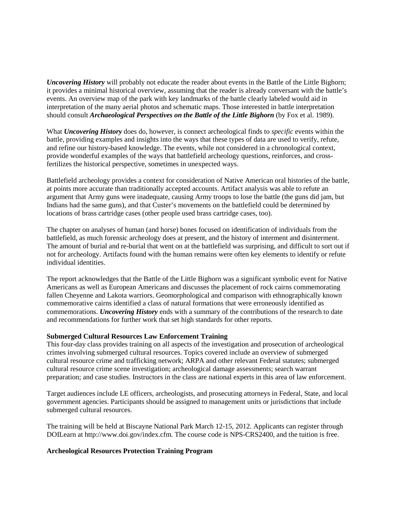*Uncovering History* will probably not educate the reader about events in the Battle of the Little Bighorn; it provides a minimal historical overview, assuming that the reader is already conversant with the battle's events. An overview map of the park with key landmarks of the battle clearly labeled would aid in interpretation of the many aerial photos and schematic maps. Those interested in battle interpretation should consult *Archaeological Perspectives on the Battle of the Little Bighorn* (by Fox et al. 1989).

What *Uncovering History* does do, however, is connect archeological finds to *specific* events within the battle, providing examples and insights into the ways that these types of data are used to verify, refute, and refine our history-based knowledge. The events, while not considered in a chronological context, provide wonderful examples of the ways that battlefield archeology questions, reinforces, and crossfertilizes the historical perspective, sometimes in unexpected ways.

Battlefield archeology provides a context for consideration of Native American oral histories of the battle, at points more accurate than traditionally accepted accounts. Artifact analysis was able to refute an argument that Army guns were inadequate, causing Army troops to lose the battle (the guns did jam, but Indians had the same guns), and that Custer's movements on the battlefield could be determined by locations of brass cartridge cases (other people used brass cartridge cases, too).

The chapter on analyses of human (and horse) bones focused on identification of individuals from the battlefield, as much forensic archeology does at present, and the history of interment and disinterment. The amount of burial and re-burial that went on at the battlefield was surprising, and difficult to sort out if not for archeology. Artifacts found with the human remains were often key elements to identify or refute individual identities.

The report acknowledges that the Battle of the Little Bighorn was a significant symbolic event for Native Americans as well as European Americans and discusses the placement of rock cairns commemorating fallen Cheyenne and Lakota warriors. Geomorphological and comparison with ethnographically known commemorative cairns identified a class of natural formations that were erroneously identified as commemorations. *Uncovering History* ends with a summary of the contributions of the research to date and recommendations for further work that set high standards for other reports.

## **Submerged Cultural Resources Law Enforcement Training**

This four-day class provides training on all aspects of the investigation and prosecution of archeological crimes involving submerged cultural resources. Topics covered include an overview of submerged cultural resource crime and trafficking network; ARPA and other relevant Federal statutes; submerged cultural resource crime scene investigation; archeological damage assessments; search warrant preparation; and case studies. Instructors in the class are national experts in this area of law enforcement.

Target audiences include LE officers, archeologists, and prosecuting attorneys in Federal, State, and local government agencies. Participants should be assigned to management units or jurisdictions that include submerged cultural resources.

The training will be held at Biscayne National Park March 12-15, 2012. Applicants can register through DOILearn at http://www.doi.gov/index.cfm. The course code is NPS-CRS2400, and the tuition is free.

#### **Archeological Resources Protection Training Program**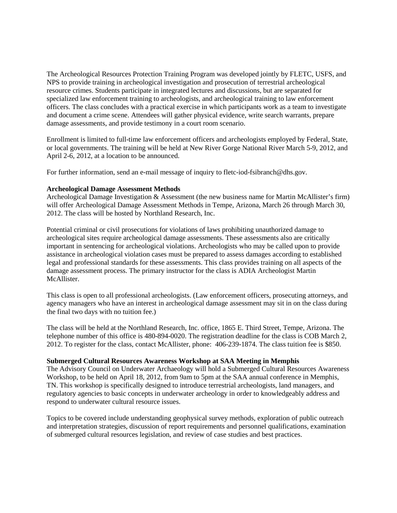The Archeological Resources Protection Training Program was developed jointly by FLETC, USFS, and NPS to provide training in archeological investigation and prosecution of terrestrial archeological resource crimes. Students participate in integrated lectures and discussions, but are separated for specialized law enforcement training to archeologists, and archeological training to law enforcement officers. The class concludes with a practical exercise in which participants work as a team to investigate and document a crime scene. Attendees will gather physical evidence, write search warrants, prepare damage assessments, and provide testimony in a court room scenario.

Enrollment is limited to full-time law enforcement officers and archeologists employed by Federal, State, or local governments. The training will be held at New River Gorge National River March 5-9, 2012, and April 2-6, 2012, at a location to be announced.

For further information, send an e-mail message of inquiry to flete-iod-fsibranch@dhs.gov.

#### **Archeological Damage Assessment Methods**

Archeological Damage Investigation & Assessment (the new business name for Martin McAllister's firm) will offer Archeological Damage Assessment Methods in Tempe, Arizona, March 26 through March 30, 2012. The class will be hosted by Northland Research, Inc.

Potential criminal or civil prosecutions for violations of laws prohibiting unauthorized damage to archeological sites require archeological damage assessments. These assessments also are critically important in sentencing for archeological violations. Archeologists who may be called upon to provide assistance in archeological violation cases must be prepared to assess damages according to established legal and professional standards for these assessments. This class provides training on all aspects of the damage assessment process. The primary instructor for the class is ADIA Archeologist Martin McAllister.

This class is open to all professional archeologists. (Law enforcement officers, prosecuting attorneys, and agency managers who have an interest in archeological damage assessment may sit in on the class during the final two days with no tuition fee.)

The class will be held at the Northland Research, Inc. office, 1865 E. Third Street, Tempe, Arizona. The telephone number of this office is 480-894-0020. The registration deadline for the class is COB March 2, 2012. To register for the class, contact McAllister, phone: 406-239-1874. The class tuition fee is \$850.

#### **Submerged Cultural Resources Awareness Workshop at SAA Meeting in Memphis**

The Advisory Council on Underwater Archaeology will hold a Submerged Cultural Resources Awareness Workshop, to be held on April 18, 2012, from 9am to 5pm at the SAA annual conference in Memphis, TN. This workshop is specifically designed to introduce terrestrial archeologists, land managers, and regulatory agencies to basic concepts in underwater archeology in order to knowledgeably address and respond to underwater cultural resource issues.

Topics to be covered include understanding geophysical survey methods, exploration of public outreach and interpretation strategies, discussion of report requirements and personnel qualifications, examination of submerged cultural resources legislation, and review of case studies and best practices.